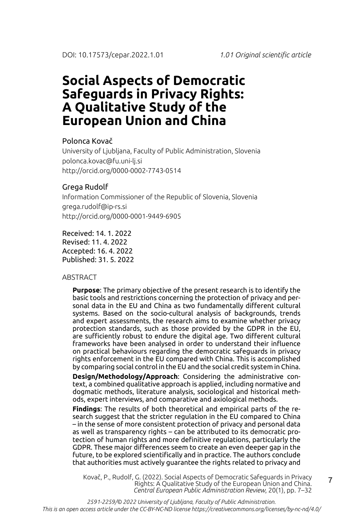#### Polonca Kovač

University of Ljubljana, Faculty of Public Administration, Slovenia polonca.kovac@fu.uni-lj.si http://orcid.org/0000-0002-7743-0514

#### Grega Rudolf

Information Commissioner of the Republic of Slovenia, Slovenia grega.rudolf@ip-rs.si http://orcid.org/0000-0001-9449-6905

Received: 14. 1. 2022 Revised: 11. 4. 2022 Accepted: 16. 4. 2022 Published: 31. 5. 2022

#### ABSTRACT

**Purpose**: The primary objective of the present research is to identify the basic tools and restrictions concerning the protection of privacy and personal data in the EU and China as two fundamentally different cultural systems. Based on the socio-cultural analysis of backgrounds, trends and expert assessments, the research aims to examine whether privacy protection standards, such as those provided by the GDPR in the EU, are sufficiently robust to endure the digital age. Two different cultural frameworks have been analysed in order to understand their influence on practical behaviours regarding the democratic safeguards in privacy rights enforcement in the EU compared with China. This is accomplished by comparing social control in the EU and the social credit system in China.

**Design/Methodology/Approach**: Considering the administrative context, a combined qualitative approach is applied, including normative and dogmatic methods, literature analysis, sociological and historical methods, expert interviews, and comparative and axiological methods.

**Findings**: The results of both theoretical and empirical parts of the research suggest that the stricter regulation in the EU compared to China – in the sense of more consistent protection of privacy and personal data as well as transparency rights – can be attributed to its democratic protection of human rights and more definitive regulations, particularly the GDPR. These major differences seem to create an even deeper gap in the future, to be explored scientifically and in practice. The authors conclude that authorities must actively guarantee the rights related to privacy and

Kovač, P., Rudolf, G. (2022). Social Aspects of Democratic Safeguards in Privacy Rights: A Qualitative Study of the European Union and China. *Central European Public Administration Review*, 20(1), pp. 7–32

7

*2591-2259/© 2022 University of Ljubljana, Faculty of Public Administration. This is an open access article under the CC-BY-NC-ND license https://creativecommons.org/licenses/by-nc-nd/4.0/*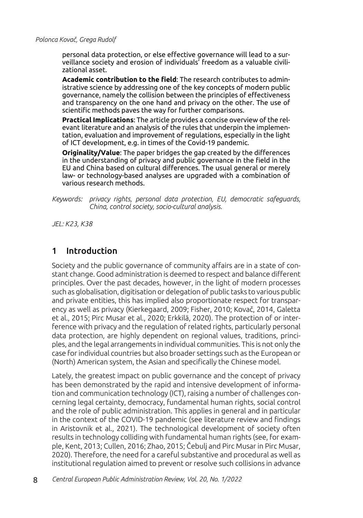personal data protection, or else effective governance will lead to a surveillance society and erosion of individuals' freedom as a valuable civilizational asset.

**Academic contribution to the field**: The research contributes to administrative science by addressing one of the key concepts of modern public governance, namely the collision between the principles of effectiveness and transparency on the one hand and privacy on the other. The use of scientific methods paves the way for further comparisons.

**Practical Implications**: The article provides a concise overview of the relevant literature and an analysis of the rules that underpin the implementation, evaluation and improvement of regulations, especially in the light of ICT development, e.g. in times of the Covid-19 pandemic.

**Originality/Value**: The paper bridges the gap created by the differences in the understanding of privacy and public governance in the field in the EU and China based on cultural differences. The usual general or merely law- or technology-based analyses are upgraded with a combination of various research methods.

*Keywords: privacy rights, personal data protection, EU, democratic safeguards, China, control society, socio-cultural analysis.*

*JEL: K23, K38*

## 1 Introduction

Society and the public governance of community affairs are in a state of constant change. Good administration is deemed to respect and balance different principles. Over the past decades, however, in the light of modern processes such as globalisation, digitisation or delegation of public tasks to various public and private entities, this has implied also proportionate respect for transparency as well as privacy (Kierkegaard, 2009; Fisher, 2010; Kovač, 2014, Galetta et al., 2015; Pirc Musar et al., 2020; Erkkilä, 2020). The protection of or interference with privacy and the regulation of related rights, particularly personal data protection, are highly dependent on regional values, traditions, principles, and the legal arrangements in individual communities. This is not only the case for individual countries but also broader settings such as the European or (North) American system, the Asian and specifically the Chinese model.

Lately, the greatest impact on public governance and the concept of privacy has been demonstrated by the rapid and intensive development of information and communication technology (ICT), raising a number of challenges concerning legal certainty, democracy, fundamental human rights, social control and the role of public administration. This applies in general and in particular in the context of the COVID-19 pandemic (see literature review and findings in Aristovnik et al., 2021). The technological development of society often results in technology colliding with fundamental human rights (see, for example, Kent, 2013; Cullen, 2016; Zhao, 2015; Čebulj and Pirc Musar in Pirc Musar, 2020). Therefore, the need for a careful substantive and procedural as well as institutional regulation aimed to prevent or resolve such collisions in advance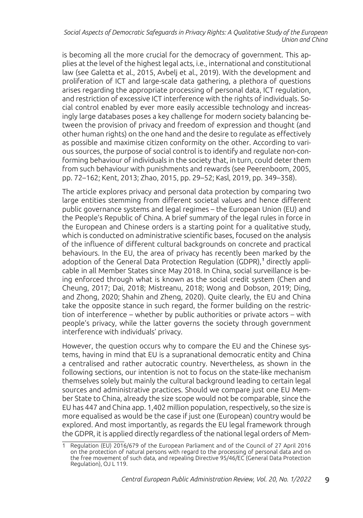is becoming all the more crucial for the democracy of government. This applies at the level of the highest legal acts, i.e., international and constitutional law (see Galetta et al., 2015, Avbelj et al., 2019). With the development and proliferation of ICT and large-scale data gathering, a plethora of questions arises regarding the appropriate processing of personal data, ICT regulation, and restriction of excessive ICT interference with the rights of individuals. Social control enabled by ever more easily accessible technology and increasingly large databases poses a key challenge for modern society balancing between the provision of privacy and freedom of expression and thought (and other human rights) on the one hand and the desire to regulate as effectively as possible and maximise citizen conformity on the other. According to various sources, the purpose of social control is to identify and regulate non-conforming behaviour of individuals in the society that, in turn, could deter them from such behaviour with punishments and rewards (see Peerenboom, 2005, pp. 72–162; Kent, 2013; Zhao, 2015, pp. 29–52; Kasl, 2019, pp. 349–358).

The article explores privacy and personal data protection by comparing two large entities stemming from different societal values and hence different public governance systems and legal regimes – the European Union (EU) and the People's Republic of China. A brief summary of the legal rules in force in the European and Chinese orders is a starting point for a qualitative study, which is conducted on administrative scientific bases, focused on the analysis of the influence of different cultural backgrounds on concrete and practical behaviours. In the EU, the area of privacy has recently been marked by the adoption of the General Data Protection Regulation (GDPR),<sup>1</sup> directly applicable in all Member States since May 2018. In China, social surveillance is being enforced through what is known as the social credit system (Chen and Cheung, 2017; Dai, 2018; Mistreanu, 2018; Wong and Dobson, 2019; Ding, and Zhong, 2020; Shahin and Zheng, 2020). Quite clearly, the EU and China take the opposite stance in such regard, the former building on the restriction of interference – whether by public authorities or private actors – with people's privacy, while the latter governs the society through government interference with individuals' privacy.

However, the question occurs why to compare the EU and the Chinese systems, having in mind that EU is a supranational democratic entity and China a centralised and rather autocratic country. Nevertheless, as shown in the following sections, our intention is not to focus on the state-like mechanism themselves solely but mainly the cultural background leading to certain legal sources and administrative practices. Should we compare just one EU Member State to China, already the size scope would not be comparable, since the EU has 447 and China app. 1,402 million population, respectively, so the size is more equalised as would be the case if just one (European) country would be explored. And most importantly, as regards the EU legal framework through the GDPR, it is applied directly regardless of the national legal orders of Mem-

<sup>1</sup> Regulation (EU) 2016/679 of the European Parliament and of the Council of 27 April 2016 on the protection of natural persons with regard to the processing of personal data and on the free movement of such data, and repealing Directive 95/46/EC (General Data Protection Regulation), OJ L 119.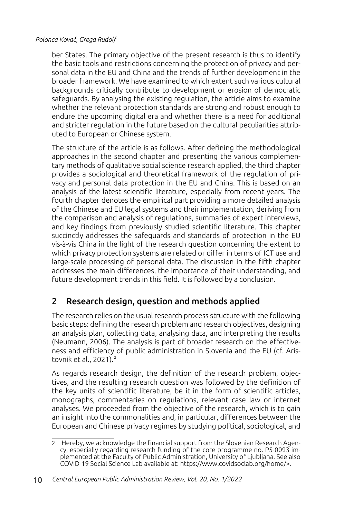ber States. The primary objective of the present research is thus to identify the basic tools and restrictions concerning the protection of privacy and personal data in the EU and China and the trends of further development in the broader framework. We have examined to which extent such various cultural backgrounds critically contribute to development or erosion of democratic safeguards. By analysing the existing regulation, the article aims to examine whether the relevant protection standards are strong and robust enough to endure the upcoming digital era and whether there is a need for additional and stricter regulation in the future based on the cultural peculiarities attributed to European or Chinese system.

The structure of the article is as follows. After defining the methodological approaches in the second chapter and presenting the various complementary methods of qualitative social science research applied, the third chapter provides a sociological and theoretical framework of the regulation of privacy and personal data protection in the EU and China. This is based on an analysis of the latest scientific literature, especially from recent years. The fourth chapter denotes the empirical part providing a more detailed analysis of the Chinese and EU legal systems and their implementation, deriving from the comparison and analysis of regulations, summaries of expert interviews, and key findings from previously studied scientific literature. This chapter succinctly addresses the safeguards and standards of protection in the EU vis-à-vis China in the light of the research question concerning the extent to which privacy protection systems are related or differ in terms of ICT use and large-scale processing of personal data. The discussion in the fifth chapter addresses the main differences, the importance of their understanding, and future development trends in this field. It is followed by a conclusion.

# 2 Research design, question and methods applied

The research relies on the usual research process structure with the following basic steps: defining the research problem and research objectives, designing an analysis plan, collecting data, analysing data, and interpreting the results (Neumann, 2006). The analysis is part of broader research on the effectiveness and efficiency of public administration in Slovenia and the EU (cf. Aristovnik et al., 2021).<sup>2</sup>

As regards research design, the definition of the research problem, objectives, and the resulting research question was followed by the definition of the key units of scientific literature, be it in the form of scientific articles, monographs, commentaries on regulations, relevant case law or internet analyses. We proceeded from the objective of the research, which is to gain an insight into the commonalities and, in particular, differences between the European and Chinese privacy regimes by studying political, sociological, and

<sup>2</sup> Hereby, we acknowledge the financial support from the Slovenian Research Agency, especially regarding research funding of the core programme no. P5-0093 implemented at the Faculty of Public Administration, University of Ljubljana. See also COVID-19 Social Science Lab available at: https://www.covidsoclab.org/home/>.

<sup>10</sup> *Central European Public Administration Review, Vol. 20, No. 1/2022*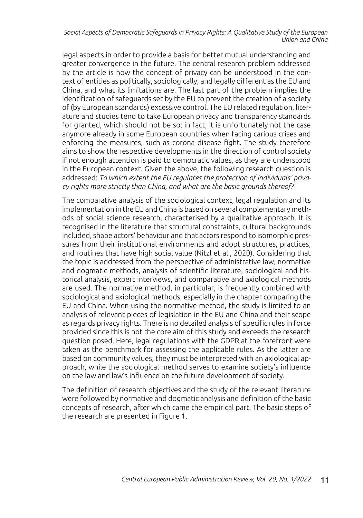legal aspects in order to provide a basis for better mutual understanding and greater convergence in the future. The central research problem addressed by the article is how the concept of privacy can be understood in the context of entities as politically, sociologically, and legally different as the EU and China, and what its limitations are. The last part of the problem implies the identification of safeguards set by the EU to prevent the creation of a society of (by European standards) excessive control. The EU related regulation, literature and studies tend to take European privacy and transparency standards for granted, which should not be so; in fact, it is unfortunately not the case anymore already in some European countries when facing carious crises and enforcing the measures, such as corona disease fight. The study therefore aims to show the respective developments in the direction of control society if not enough attention is paid to democratic values, as they are understood in the European context. Given the above, the following research question is addressed: *To which extent the EU regulates the protection of individuals' privacy rights more strictly than China, and what are the basic grounds thereof?*

The comparative analysis of the sociological context, legal regulation and its implementation in the EU and China is based on several complementary methods of social science research, characterised by a qualitative approach. It is recognised in the literature that structural constraints, cultural backgrounds included, shape actors' behaviour and that actors respond to isomorphic pressures from their institutional environments and adopt structures, practices, and routines that have high social value (Nitzl et al., 2020). Considering that the topic is addressed from the perspective of administrative law, normative and dogmatic methods, analysis of scientific literature, sociological and historical analysis, expert interviews, and comparative and axiological methods are used. The normative method, in particular, is frequently combined with sociological and axiological methods, especially in the chapter comparing the EU and China. When using the normative method, the study is limited to an analysis of relevant pieces of legislation in the EU and China and their scope as regards privacy rights. There is no detailed analysis of specific rules in force provided since this is not the core aim of this study and exceeds the research question posed. Here, legal regulations with the GDPR at the forefront were taken as the benchmark for assessing the applicable rules. As the latter are based on community values, they must be interpreted with an axiological approach, while the sociological method serves to examine society's influence on the law and law's influence on the future development of society.

The definition of research objectives and the study of the relevant literature were followed by normative and dogmatic analysis and definition of the basic concepts of research, after which came the empirical part. The basic steps of the research are presented in Figure 1.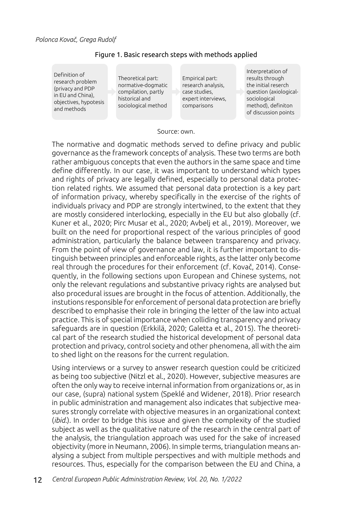| Theoretical part:<br>normative-dogmatic<br>compilation, partly<br>historical and<br>sociological method |
|---------------------------------------------------------------------------------------------------------|
|                                                                                                         |

#### Figure 1. Basic research steps with methods applied

Empirical part: research analysis, case studies, expert interviews, comparisons

Interpretation of results through the initial reserch question (axiologicalsociological method), definiton of discussion points

#### Source: own.

The normative and dogmatic methods served to define privacy and public governance as the framework concepts of analysis. These two terms are both rather ambiguous concepts that even the authors in the same space and time define differently. In our case, it was important to understand which types and rights of privacy are legally defined, especially to personal data protection related rights. We assumed that personal data protection is a key part of information privacy, whereby specifically in the exercise of the rights of individuals privacy and PDP are strongly intertwined, to the extent that they are mostly considered interlocking, especially in the EU but also globally (cf. Kuner et al., 2020; Pirc Musar et al., 2020; Avbelj et al., 2019). Moreover, we built on the need for proportional respect of the various principles of good administration, particularly the balance between transparency and privacy. From the point of view of governance and law, it is further important to distinguish between principles and enforceable rights, as the latter only become real through the procedures for their enforcement (cf. Kovač, 2014). Consequently, in the following sections upon European and Chinese systems, not only the relevant regulations and substantive privacy rights are analysed but also procedural issues are brought in the focus of attention. Additionally, the instutions responsible for enforcement of personal data protection are briefly described to emphasise their role in bringing the letter of the law into actual practice. This is of special importance when colliding transparency and privacy safeguards are in question (Erkkilä, 2020; Galetta et al., 2015). The theoretical part of the research studied the historical development of personal data protection and privacy, control society and other phenomena, all with the aim to shed light on the reasons for the current regulation.

Using interviews or a survey to answer research question could be criticized as being too subjective (Nitzl et al., 2020). However, subjective measures are often the only way to receive internal information from organizations or, as in our case, (supra) national system (Speklé and Widener, 2018). Prior research in public administration and management also indicates that subjective measures strongly correlate with objective measures in an organizational context (*ibid.*). In order to bridge this issue and given the complexity of the studied subject as well as the qualitative nature of the research in the central part of the analysis, the triangulation approach was used for the sake of increased objectivity (more in Neumann, 2006). In simple terms, triangulation means analysing a subject from multiple perspectives and with multiple methods and resources. Thus, especially for the comparison between the EU and China, a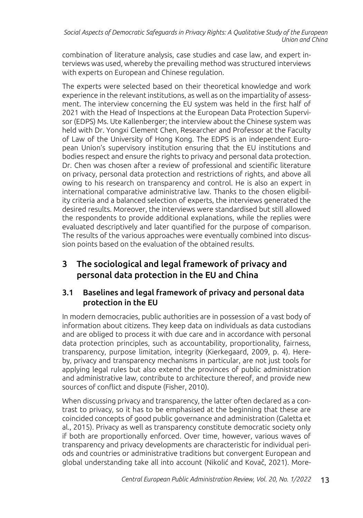combination of literature analysis, case studies and case law, and expert interviews was used, whereby the prevailing method was structured interviews with experts on European and Chinese regulation.

The experts were selected based on their theoretical knowledge and work experience in the relevant institutions, as well as on the impartiality of assessment. The interview concerning the EU system was held in the first half of 2021 with the Head of Inspections at the European Data Protection Supervisor (EDPS) Ms. Ute Kallenberger; the interview about the Chinese system was held with Dr. Yongxi Clement Chen, Researcher and Professor at the Faculty of Law of the University of Hong Kong. The EDPS is an independent European Union's supervisory institution ensuring that the EU institutions and bodies respect and ensure the rights to privacy and personal data protection. Dr. Chen was chosen after a review of professional and scientific literature on privacy, personal data protection and restrictions of rights, and above all owing to his research on transparency and control. He is also an expert in international comparative administrative law. Thanks to the chosen eligibility criteria and a balanced selection of experts, the interviews generated the desired results. Moreover, the interviews were standardised but still allowed the respondents to provide additional explanations, while the replies were evaluated descriptively and later quantified for the purpose of comparison. The results of the various approaches were eventually combined into discussion points based on the evaluation of the obtained results.

# 3 The sociological and legal framework of privacy and personal data protection in the EU and China

## 3.1 Baselines and legal framework of privacy and personal data protection in the EU

In modern democracies, public authorities are in possession of a vast body of information about citizens. They keep data on individuals as data custodians and are obliged to process it with due care and in accordance with personal data protection principles, such as accountability, proportionality, fairness, transparency, purpose limitation, integrity (Kierkegaard, 2009, p. 4). Hereby, privacy and transparency mechanisms in particular, are not just tools for applying legal rules but also extend the provinces of public administration and administrative law, contribute to architecture thereof, and provide new sources of conflict and dispute (Fisher, 2010).

When discussing privacy and transparency, the latter often declared as a contrast to privacy, so it has to be emphasised at the beginning that these are coincided concepts of good public governance and administration (Galetta et al., 2015). Privacy as well as transparency constitute democratic society only if both are proportionally enforced. Over time, however, various waves of transparency and privacy developments are characteristic for individual periods and countries or administrative traditions but convergent European and global understanding take all into account (Nikolić and Kovač, 2021). More-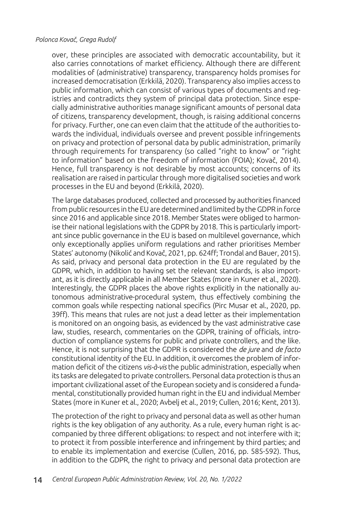over, these principles are associated with democratic accountability, but it also carries connotations of market efficiency. Although there are different modalities of (administrative) transparency, transparency holds promises for increased democratisation (Erkkilä, 2020). Transparency also implies access to public information, which can consist of various types of documents and registries and contradicts they system of principal data protection. Since especially administrative authorities manage significant amounts of personal data of citizens, transparency development, though, is raising additional concerns for privacy. Further, one can even claim that the attitude of the authorities towards the individual, individuals oversee and prevent possible infringements on privacy and protection of personal data by public administration, primarily through requirements for transparency (so called "right to know" or "right to information" based on the freedom of information (FOIA); Kovač, 2014). Hence, full transparency is not desirable by most accounts; concerns of its realisation are raised in particular through more digitalised societies and work processes in the EU and beyond (Erkkilä, 2020).

The large databases produced, collected and processed by authorities financed from public resources in the EU are determined and limited by the GDPR in force since 2016 and applicable since 2018. Member States were obliged to harmonise their national legislations with the GDPR by 2018. This is particularly important since public governance in the EU is based on multilevel governance, which only exceptionally applies uniform regulations and rather prioritises Member States' autonomy (Nikolić and Kovač, 2021, pp. 624ff; Trondal and Bauer, 2015). As said, privacy and personal data protection in the EU are regulated by the GDPR, which, in addition to having set the relevant standards, is also important, as it is directly applicable in all Member States (more in Kuner et al., 2020). Interestingly, the GDPR places the above rights explicitly in the nationally autonomous administrative-procedural system, thus effectively combining the common goals while respecting national specifics (Pirc Musar et al., 2020, pp. 39ff). This means that rules are not just a dead letter as their implementation is monitored on an ongoing basis, as evidenced by the vast administrative case law, studies, research, commentaries on the GDPR, training of officials, introduction of compliance systems for public and private controllers, and the like. Hence, it is not surprising that the GDPR is considered the *de jure* and *de facto* constitutional identity of the EU. In addition, it overcomes the problem of information deficit of the citizens *vis-à-vis* the public administration, especially when its tasks are delegated to private controllers. Personal data protection is thus an important civilizational asset of the European society and is considered a fundamental, constitutionally provided human right in the EU and individual Member States (more in Kuner et al., 2020; Avbelj et al., 2019; Cullen, 2016; Kent, 2013).

The protection of the right to privacy and personal data as well as other human rights is the key obligation of any authority. As a rule, every human right is accompanied by three different obligations: to respect and not interfere with it; to protect it from possible interference and infringement by third parties; and to enable its implementation and exercise (Cullen, 2016, pp. 585-592). Thus, in addition to the GDPR, the right to privacy and personal data protection are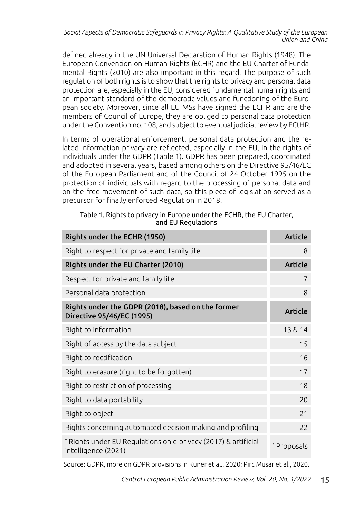defined already in the UN Universal Declaration of Human Rights (1948). The European Convention on Human Rights (ECHR) and the EU Charter of Fundamental Rights (2010) are also important in this regard. The purpose of such regulation of both rights is to show that the rights to privacy and personal data protection are, especially in the EU, considered fundamental human rights and an important standard of the democratic values and functioning of the European society. Moreover, since all EU MSs have signed the ECHR and are the members of Council of Europe, they are obliged to personal data protection under the Convention no. 108, and subject to eventual judicial review by ECtHR.

In terms of operational enforcement, personal data protection and the related information privacy are reflected, especially in the EU, in the rights of individuals under the GDPR (Table 1). GDPR has been prepared, coordinated and adopted in several years, based among others on the Directive 95/46/EC of the European Parliament and of the Council of 24 October 1995 on the protection of individuals with regard to the processing of personal data and on the free movement of such data, so this piece of legislation served as a precursor for finally enforced Regulation in 2018.

#### Table 1. Rights to privacy in Europe under the ECHR, the EU Charter, and EU Regulations

| Rights under the ECHR (1950)                                                          | <b>Article</b> |
|---------------------------------------------------------------------------------------|----------------|
| Right to respect for private and family life                                          | 8              |
| Rights under the EU Charter (2010)                                                    | <b>Article</b> |
| Respect for private and family life                                                   | 7              |
| Personal data protection                                                              | 8              |
| Rights under the GDPR (2018), based on the former<br>Directive 95/46/EC (1995)        | <b>Article</b> |
| Right to information                                                                  | 13 & 14        |
| Right of access by the data subject                                                   | 15             |
| Right to rectification                                                                | 16             |
| Right to erasure (right to be forgotten)                                              | 17             |
| Right to restriction of processing                                                    | 18             |
| Right to data portability                                                             | 20             |
| Right to object                                                                       | 21             |
| Rights concerning automated decision-making and profiling                             | 22             |
| * Rights under EU Regulations on e-privacy (2017) & artificial<br>intelligence (2021) | * Proposals    |

Source: GDPR, more on GDPR provisions in Kuner et al., 2020; Pirc Musar et al., 2020.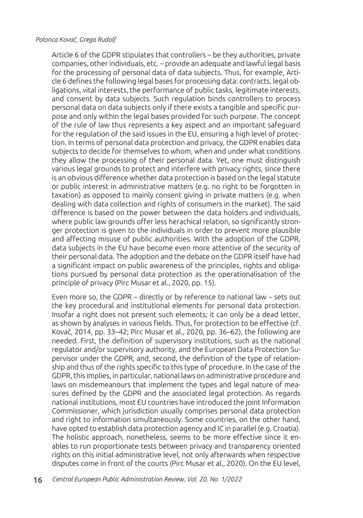Article 6 of the GDPR stipulates that controllers – be they authorities, private companies, other individuals, etc. – provide an adequate and lawful legal basis for the processing of personal data of data subjects. Thus, for example, Article 6 defines the following legal bases for processing data: contracts, legal obligations, vital interests, the performance of public tasks, legitimate interests, and consent by data subjects. Such regulation binds controllers to process personal data on data subjects only if there exists a tangible and specific purpose and only within the legal bases provided for such purpose. The concept of the rule of law thus represents a key aspect and an important safeguard for the regulation of the said issues in the EU, ensuring a high level of protection. In terms of personal data protection and privacy, the GDPR enables data subjects to decide for themselves to whom, when and under what conditions they allow the processing of their personal data. Yet, one must distinguish various legal grounds to protect and interfere with privacy rights, since there is an obvious difference whether data protection is based on the legal statute or public interest in administrative matters (e.g. no right to be forgotten in taxation) as opposed to mainly consent giving in private matters (e.g. when dealing with data collection and rights of consumers in the market). The said difference is based on the power between the data holders and individuals, where public law grounds offer less herachical relation, so significantly stronger protection is given to the individuals in order to prevent more plausible and affecting misuse of public authorities. With the adoption of the GDPR, data subjects in the EU have become even more attentive of the security of their personal data. The adoption and the debate on the GDPR itself have had a significant impact on public awareness of the principles, rights and obligations pursued by personal data protection as the operationalisation of the principle of privacy (Pirc Musar et al., 2020, pp. 15).

Even more so, the GDPR – directly or by reference to national law – sets out the key procedural and institutional elements for personal data protection. Insofar a right does not present such elements; it can only be a dead letter, as shown by analyses in various fields. Thus, for protection to be effective (cf. Kovač, 2014, pp. 33–42; Pirc Musar et al., 2020, pp. 36–62), the following are needed. First, the definition of supervisory institutions, such as the national regulator and/or supervisory authority, and the European Data Protection Supervisor under the GDPR, and, second, the definition of the type of relationship and thus of the rights specific to this type of procedure. In the case of the GDPR, this implies, in particular, national laws on administrative procedure and laws on misdemeanours that implement the types and legal nature of measures defined by the GDPR and the associated legal protection. As regards national institutions, most EU countries have introduced the joint Information Commissioner, which jurisdiction usually comprises personal data protection and right to information simultaneously. Some countries, on the other hand, have opted to establish data protection agency and IC in parallel (e.g. Croatia). The holistic approach, nonetheless, seems to be more effective since it enables to run proportionate tests between privacy and transparency oriented rights on this initial administrative level, not only afterwards when respective disputes come in front of the courts (Pirc Musar et al., 2020). On the EU level,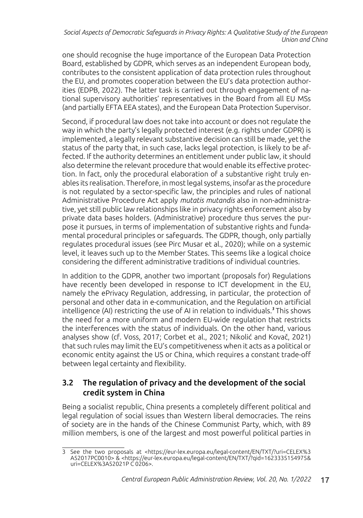one should recognise the huge importance of the European Data Protection Board, established by GDPR, which serves as an independent European body, contributes to the consistent application of data protection rules throughout the EU, and promotes cooperation between the EU's data protection authorities (EDPB, 2022). The latter task is carried out through engagement of national supervisory authorities' representatives in the Board from all EU MSs (and partially EFTA EEA states), and the European Data Protection Supervisor.

Second, if procedural law does not take into account or does not regulate the way in which the party's legally protected interest (e.g. rights under GDPR) is implemented, a legally relevant substantive decision can still be made, yet the status of the party that, in such case, lacks legal protection, is likely to be affected. If the authority determines an entitlement under public law, it should also determine the relevant procedure that would enable its effective protection. In fact, only the procedural elaboration of a substantive right truly enables its realisation. Therefore, in most legal systems, insofar as the procedure is not regulated by a sector-specific law, the principles and rules of national Administrative Procedure Act apply *mutatis mutandis* also in non-administrative, yet still public law relationships like in privacy rights enforcement also by private data bases holders. (Administrative) procedure thus serves the purpose it pursues, in terms of implementation of substantive rights and fundamental procedural principles or safeguards. The GDPR, though, only partially regulates procedural issues (see Pirc Musar et al., 2020); while on a systemic level, it leaves such up to the Member States. This seems like a logical choice considering the different administrative traditions of individual countries.

In addition to the GDPR, another two important (proposals for) Regulations have recently been developed in response to ICT development in the EU, namely the ePrivacy Regulation, addressing, in particular, the protection of personal and other data in e-communication, and the Regulation on artificial intelligence (AI) restricting the use of AI in relation to individuals.<sup>3</sup> This shows the need for a more uniform and modern EU-wide regulation that restricts the interferences with the status of individuals. On the other hand, various analyses show (cf. Voss, 2017; Corbet et al., 2021; Nikolić and Kovač, 2021) that such rules may limit the EU's competitiveness when it acts as a political or economic entity against the US or China, which requires a constant trade-off between legal certainty and flexibility.

### 3.2 The regulation of privacy and the development of the social credit system in China

Being a socialist republic, China presents a completely different political and legal regulation of social issues than Western liberal democracies. The reins of society are in the hands of the Chinese Communist Party, which, with 89 million members, is one of the largest and most powerful political parties in

<sup>3</sup> See the two proposals at <https://eur-lex.europa.eu/legal-content/EN/TXT/?uri=CELEX%3 A52017PC0010> & <https://eur-lex.europa.eu/legal-content/EN/TXT/?qid=1623335154975& uri=CELEX%3A52021P C 0206>.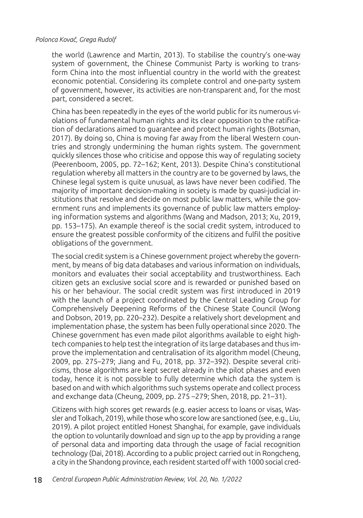the world (Lawrence and Martin, 2013). To stabilise the country's one-way system of government, the Chinese Communist Party is working to transform China into the most influential country in the world with the greatest economic potential. Considering its complete control and one-party system of government, however, its activities are non-transparent and, for the most part, considered a secret.

China has been repeatedly in the eyes of the world public for its numerous violations of fundamental human rights and its clear opposition to the ratification of declarations aimed to guarantee and protect human rights (Botsman, 2017). By doing so, China is moving far away from the liberal Western countries and strongly undermining the human rights system. The government quickly silences those who criticise and oppose this way of regulating society (Peerenboom, 2005, pp. 72–162; Kent, 2013). Despite China's constitutional regulation whereby all matters in the country are to be governed by laws, the Chinese legal system is quite unusual, as laws have never been codified. The majority of important decision-making in society is made by quasi-judicial institutions that resolve and decide on most public law matters, while the government runs and implements its governance of public law matters employing information systems and algorithms (Wang and Madson, 2013; Xu, 2019, pp. 153–175). An example thereof is the social credit system, introduced to ensure the greatest possible conformity of the citizens and fulfil the positive obligations of the government.

The social credit system is a Chinese government project whereby the government, by means of big data databases and various information on individuals, monitors and evaluates their social acceptability and trustworthiness. Each citizen gets an exclusive social score and is rewarded or punished based on his or her behaviour. The social credit system was first introduced in 2019 with the launch of a project coordinated by the Central Leading Group for Comprehensively Deepening Reforms of the Chinese State Council (Wong and Dobson, 2019, pp. 220–232). Despite a relatively short development and implementation phase, the system has been fully operational since 2020. The Chinese government has even made pilot algorithms available to eight hightech companies to help test the integration of its large databases and thus improve the implementation and centralisation of its algorithm model (Cheung, 2009, pp. 275–279; Jiang and Fu, 2018, pp. 372–392). Despite several criticisms, those algorithms are kept secret already in the pilot phases and even today, hence it is not possible to fully determine which data the system is based on and with which algorithms such systems operate and collect process and exchange data (Cheung, 2009, pp. 275 –279; Shen, 2018, pp. 21–31).

Citizens with high scores get rewards (e.g. easier access to loans or visas, Wassler and Tolkach, 2019), while those who score low are sanctioned (see, e.g., Liu, 2019). A pilot project entitled Honest Shanghai, for example, gave individuals the option to voluntarily download and sign up to the app by providing a range of personal data and importing data through the usage of facial recognition technology (Dai, 2018). According to a public project carried out in Rongcheng, a city in the Shandong province, each resident started off with 1000 social cred-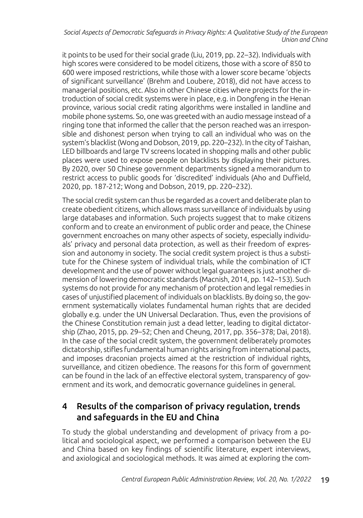it points to be used for their social grade (Liu, 2019, pp. 22–32). Individuals with high scores were considered to be model citizens, those with a score of 850 to 600 were imposed restrictions, while those with a lower score became 'objects of significant surveillance' (Brehm and Loubere, 2018), did not have access to managerial positions, etc. Also in other Chinese cities where projects for the introduction of social credit systems were in place, e.g. in Dongfeng in the Henan province, various social credit rating algorithms were installed in landline and mobile phone systems. So, one was greeted with an audio message instead of a ringing tone that informed the caller that the person reached was an irresponsible and dishonest person when trying to call an individual who was on the system's blacklist (Wong and Dobson, 2019, pp. 220–232). In the city of Taishan, LED billboards and large TV screens located in shopping malls and other public places were used to expose people on blacklists by displaying their pictures. By 2020, over 50 Chinese government departments signed a memorandum to restrict access to public goods for 'discredited' individuals (Aho and Duffield, 2020, pp. 187-212; Wong and Dobson, 2019, pp. 220–232).

The social credit system can thus be regarded as a covert and deliberate plan to create obedient citizens, which allows mass surveillance of individuals by using large databases and information. Such projects suggest that to make citizens conform and to create an environment of public order and peace, the Chinese government encroaches on many other aspects of society, especially individuals' privacy and personal data protection, as well as their freedom of expression and autonomy in society. The social credit system project is thus a substitute for the Chinese system of individual trials, while the combination of ICT development and the use of power without legal guarantees is just another dimension of lowering democratic standards (Macnish, 2014, pp. 142–153). Such systems do not provide for any mechanism of protection and legal remedies in cases of unjustified placement of individuals on blacklists. By doing so, the government systematically violates fundamental human rights that are decided globally e.g. under the UN Universal Declaration. Thus, even the provisions of the Chinese Constitution remain just a dead letter, leading to digital dictatorship (Zhao, 2015, pp. 29–52; Chen and Cheung, 2017, pp. 356–378; Dai, 2018). In the case of the social credit system, the government deliberately promotes dictatorship, stifles fundamental human rights arising from international pacts, and imposes draconian projects aimed at the restriction of individual rights, surveillance, and citizen obedience. The reasons for this form of government can be found in the lack of an effective electoral system, transparency of government and its work, and democratic governance guidelines in general.

# 4 Results of the comparison of privacy regulation, trends and safeguards in the EU and China

To study the global understanding and development of privacy from a political and sociological aspect, we performed a comparison between the EU and China based on key findings of scientific literature, expert interviews, and axiological and sociological methods. It was aimed at exploring the com-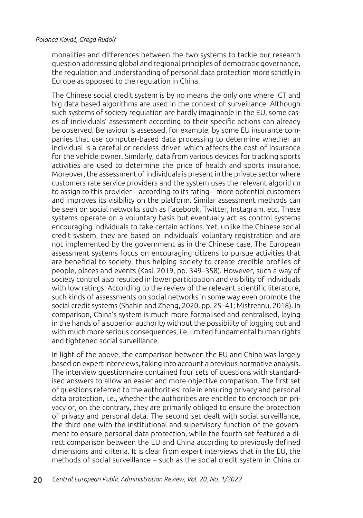monalities and differences between the two systems to tackle our research question addressing global and regional principles of democratic governance, the regulation and understanding of personal data protection more strictly in Europe as opposed to the regulation in China.

The Chinese social credit system is by no means the only one where ICT and big data based algorithms are used in the context of surveillance. Although such systems of society regulation are hardly imaginable in the EU, some cases of individuals' assessment according to their specific actions can already be observed. Behaviour is assessed, for example, by some EU insurance companies that use computer-based data processing to determine whether an individual is a careful or reckless driver, which affects the cost of insurance for the vehicle owner. Similarly, data from various devices for tracking sports activities are used to determine the price of health and sports insurance. Moreover, the assessment of individuals is present in the private sector where customers rate service providers and the system uses the relevant algorithm to assign to this provider – according to its rating – more potential customers and improves its visibility on the platform. Similar assessment methods can be seen on social networks such as Facebook, Twitter, Instagram, etc. These systems operate on a voluntary basis but eventually act as control systems encouraging individuals to take certain actions. Yet, unlike the Chinese social credit system, they are based on individuals' voluntary registration and are not implemented by the government as in the Chinese case. The European assessment systems focus on encouraging citizens to pursue activities that are beneficial to society, thus helping society to create credible profiles of people, places and events (Kasl, 2019, pp. 349–358). However, such a way of society control also resulted in lower participation and visibility of individuals with low ratings. According to the review of the relevant scientific literature, such kinds of assessments on social networks in some way even promote the social credit systems (Shahin and Zheng, 2020, pp. 25–41; Mistreanu, 2018). In comparison, China's system is much more formalised and centralised, laying in the hands of a superior authority without the possibility of logging out and with much more serious consequences, i.e. limited fundamental human rights and tightened social surveillance.

In light of the above, the comparison between the EU and China was largely based on expert interviews, taking into account a previous normative analysis. The interview questionnaire contained four sets of questions with standardised answers to allow an easier and more objective comparison. The first set of questions referred to the authorities' role in ensuring privacy and personal data protection, i.e., whether the authorities are entitled to encroach on privacy or, on the contrary, they are primarily obliged to ensure the protection of privacy and personal data. The second set dealt with social surveillance, the third one with the institutional and supervisory function of the government to ensure personal data protection, while the fourth set featured a direct comparison between the EU and China according to previously defined dimensions and criteria. It is clear from expert interviews that in the EU, the methods of social surveillance – such as the social credit system in China or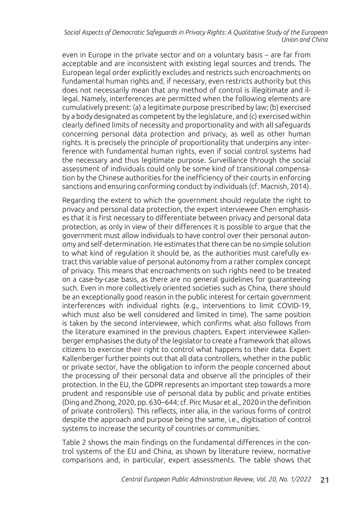even in Europe in the private sector and on a voluntary basis – are far from acceptable and are inconsistent with existing legal sources and trends. The European legal order explicitly excludes and restricts such encroachments on fundamental human rights and, if necessary, even restricts authority but this does not necessarily mean that any method of control is illegitimate and illegal. Namely, interferences are permitted when the following elements are cumulatively present: (a) a legitimate purpose prescribed by law; (b) exercised by a body designated as competent by the legislature, and (c) exercised within clearly defined limits of necessity and proportionality and with all safeguards concerning personal data protection and privacy, as well as other human rights. It is precisely the principle of proportionality that underpins any interference with fundamental human rights, even if social control systems had the necessary and thus legitimate purpose. Surveillance through the social assessment of individuals could only be some kind of transitional compensation by the Chinese authorities for the inefficiency of their courts in enforcing sanctions and ensuring conforming conduct by individuals (cf. Macnish, 2014).

Regarding the extent to which the government should regulate the right to privacy and personal data protection, the expert interviewee Chen emphasises that it is first necessary to differentiate between privacy and personal data protection, as only in view of their differences it is possible to argue that the government must allow individuals to have control over their personal autonomy and self-determination. He estimates that there can be no simple solution to what kind of regulation it should be, as the authorities must carefully extract this variable value of personal autonomy from a rather complex concept of privacy. This means that encroachments on such rights need to be treated on a case-by-case basis, as there are no general guidelines for guaranteeing such. Even in more collectively oriented societies such as China, there should be an exceptionally good reason in the public interest for certain government interferences with individual rights (e.g., interventions to limit COVID-19, which must also be well considered and limited in time). The same position is taken by the second interviewee, which confirms what also follows from the literature examined in the previous chapters. Expert interviewee Kallenberger emphasises the duty of the legislator to create a framework that allows citizens to exercise their right to control what happens to their data. Expert Kallenberger further points out that all data controllers, whether in the public or private sector, have the obligation to inform the people concerned about the processing of their personal data and observe all the principles of their protection. In the EU, the GDPR represents an important step towards a more prudent and responsible use of personal data by public and private entities (Ding and Zhong, 2020, pp. 630–644; cf. Pirc Musar et al., 2020 in the definition of private controllers). This reflects, inter alia, in the various forms of control despite the approach and purpose being the same, i.e., digitisation of control systems to increase the security of countries or communities.

Table 2 shows the main findings on the fundamental differences in the control systems of the EU and China, as shown by literature review, normative comparisons and, in particular, expert assessments. The table shows that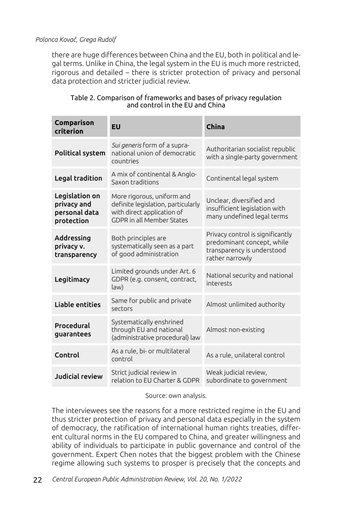there are huge differences between China and the EU, both in political and legal terms. Unlike in China, the legal system in the EU is much more restricted, rigorous and detailed – there is stricter protection of privacy and personal data protection and stricter judicial review.

| Comparison<br>criterion                                      | EU                                                                                                                                 | <b>China</b>                                                                                                    |
|--------------------------------------------------------------|------------------------------------------------------------------------------------------------------------------------------------|-----------------------------------------------------------------------------------------------------------------|
| Political system                                             | Sui generis form of a supra-<br>national union of democratic<br>countries                                                          | Authoritarian socialist republic<br>with a single-party government                                              |
| <b>Legal tradition</b>                                       | A mix of continental & Anglo-<br>Saxon traditions                                                                                  | Continental legal system                                                                                        |
| Legislation on<br>privacy and<br>personal data<br>protection | More rigorous, uniform and<br>definite legislation, particularly<br>with direct application of<br><b>GDPR</b> in all Member States | Unclear, diversified and<br>insufficient legislation with<br>many undefined legal terms                         |
| Addressing<br>privacy v.<br>transparency                     | Both principles are<br>systematically seen as a part<br>of good administration                                                     | Privacy control is significantly<br>predominant concept, while<br>transparency is understood<br>rather narrowly |
| Legitimacy                                                   | Limited grounds under Art. 6<br>GDPR (e.g. consent, contract,<br>law)                                                              | National security and national<br>interests                                                                     |
| <b>Liable entities</b>                                       | Same for public and private<br>sectors                                                                                             | Almost unlimited authority                                                                                      |
| Procedural<br>guarantees                                     | Systematically enshrined<br>through EU and national<br>(administrative procedural) law                                             | Almost non-existing                                                                                             |
| Control                                                      | As a rule, bi- or multilateral<br>control                                                                                          | As a rule, unilateral control                                                                                   |
| <b>Judicial review</b>                                       | Strict judicial review in<br>relation to EU Charter & GDPR                                                                         | Weak judicial review,<br>subordinate to government                                                              |

#### Table 2. Comparison of frameworks and bases of privacy regulation and control in the EU and China

Source: own analysis.

The interviewees see the reasons for a more restricted regime in the EU and thus stricter protection of privacy and personal data especially in the system of democracy, the ratification of international human rights treaties, different cultural norms in the EU compared to China, and greater willingness and ability of individuals to participate in public governance and control of the government. Expert Chen notes that the biggest problem with the Chinese regime allowing such systems to prosper is precisely that the concepts and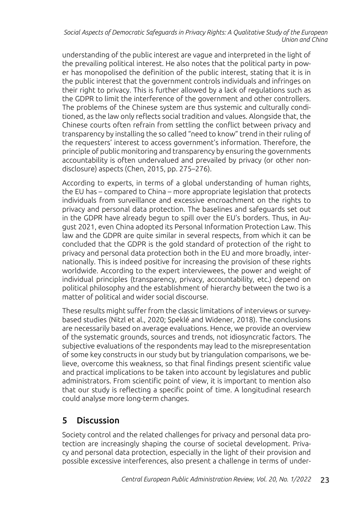understanding of the public interest are vague and interpreted in the light of the prevailing political interest. He also notes that the political party in power has monopolised the definition of the public interest, stating that it is in the public interest that the government controls individuals and infringes on their right to privacy. This is further allowed by a lack of regulations such as the GDPR to limit the interference of the government and other controllers. The problems of the Chinese system are thus systemic and culturally conditioned, as the law only reflects social tradition and values. Alongside that, the Chinese courts often refrain from settling the conflict between privacy and transparency by installing the so called "need to know" trend in their ruling of the requesters' interest to access government's information. Therefore, the principle of public monitoring and transparency by ensuring the governments accountability is often undervalued and prevailed by privacy (or other nondisclosure) aspects (Chen, 2015, pp. 275–276).

According to experts, in terms of a global understanding of human rights, the EU has – compared to China – more appropriate legislation that protects individuals from surveillance and excessive encroachment on the rights to privacy and personal data protection. The baselines and safeguards set out in the GDPR have already begun to spill over the EU's borders. Thus, in August 2021, even China adopted its Personal Information Protection Law. This law and the GDPR are quite similar in several respects, from which it can be concluded that the GDPR is the gold standard of protection of the right to privacy and personal data protection both in the EU and more broadly, internationally. This is indeed positive for increasing the provision of these rights worldwide. According to the expert interviewees, the power and weight of individual principles (transparency, privacy, accountability, etc.) depend on political philosophy and the establishment of hierarchy between the two is a matter of political and wider social discourse.

These results might suffer from the classic limitations of interviews or surveybased studies (Nitzl et al., 2020; Speklé and Widener, 2018). The conclusions are necessarily based on average evaluations. Hence, we provide an overview of the systematic grounds, sources and trends, not idiosyncratic factors. The subjective evaluations of the respondents may lead to the misrepresentation of some key constructs in our study but by triangulation comparisons, we believe, overcome this weakness, so that final findings present scientific value and practical implications to be taken into account by legislatures and public administrators. From scientific point of view, it is important to mention also that our study is reflecting a specific point of time. A longitudinal research could analyse more long-term changes.

# 5 Discussion

Society control and the related challenges for privacy and personal data protection are increasingly shaping the course of societal development. Privacy and personal data protection, especially in the light of their provision and possible excessive interferences, also present a challenge in terms of under-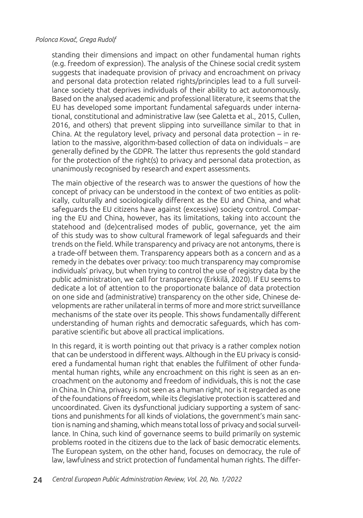standing their dimensions and impact on other fundamental human rights (e.g. freedom of expression). The analysis of the Chinese social credit system suggests that inadequate provision of privacy and encroachment on privacy and personal data protection related rights/principles lead to a full surveillance society that deprives individuals of their ability to act autonomously. Based on the analysed academic and professional literature, it seems that the EU has developed some important fundamental safeguards under international, constitutional and administrative law (see Galetta et al., 2015, Cullen, 2016, and others) that prevent slipping into surveillance similar to that in China. At the regulatory level, privacy and personal data protection – in relation to the massive, algorithm-based collection of data on individuals – are generally defined by the GDPR. The latter thus represents the gold standard for the protection of the right(s) to privacy and personal data protection, as unanimously recognised by research and expert assessments.

The main objective of the research was to answer the questions of how the concept of privacy can be understood in the context of two entities as politically, culturally and sociologically different as the EU and China, and what safeguards the EU citizens have against (excessive) society control. Comparing the EU and China, however, has its limitations, taking into account the statehood and (de)centralised modes of public, governance, yet the aim of this study was to show cultural framework of legal safeguards and their trends on the field. While transparency and privacy are not antonyms, there is a trade-off between them. Transparency appears both as a concern and as a remedy in the debates over privacy: too much transparency may compromise individuals' privacy, but when trying to control the use of registry data by the public administration, we call for transparency (Erkkilä, 2020). If EU seems to dedicate a lot of attention to the proportionate balance of data protection on one side and (administrative) transparency on the other side, Chinese developments are rather unilateral in terms of more and more strict surveillance mechanisms of the state over its people. This shows fundamentally different understanding of human rights and democratic safeguards, which has comparative scientific but above all practical implications.

In this regard, it is worth pointing out that privacy is a rather complex notion that can be understood in different ways. Although in the EU privacy is considered a fundamental human right that enables the fulfilment of other fundamental human rights, while any encroachment on this right is seen as an encroachment on the autonomy and freedom of individuals, this is not the case in China. In China, privacy is not seen as a human right, nor is it regarded as one of the foundations of freedom, while its člegislative protection is scattered and uncoordinated. Given its dysfunctional judiciary supporting a system of sanctions and punishments for all kinds of violations, the government's main sanction is naming and shaming, which means total loss of privacy and social surveillance. In China, such kind of governance seems to build primarily on systemic problems rooted in the citizens due to the lack of basic democratic elements. The European system, on the other hand, focuses on democracy, the rule of law, lawfulness and strict protection of fundamental human rights. The differ-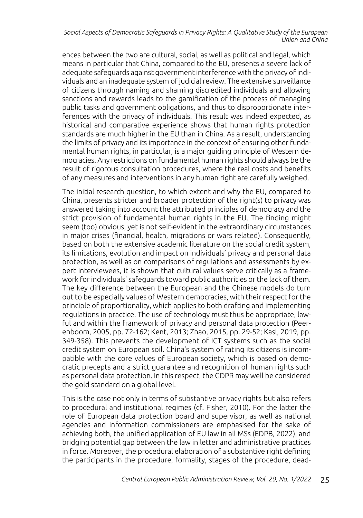ences between the two are cultural, social, as well as political and legal, which means in particular that China, compared to the EU, presents a severe lack of adequate safeguards against government interference with the privacy of individuals and an inadequate system of judicial review. The extensive surveillance of citizens through naming and shaming discredited individuals and allowing sanctions and rewards leads to the gamification of the process of managing public tasks and government obligations, and thus to disproportionate interferences with the privacy of individuals. This result was indeed expected, as historical and comparative experience shows that human rights protection standards are much higher in the EU than in China. As a result, understanding the limits of privacy and its importance in the context of ensuring other fundamental human rights, in particular, is a major guiding principle of Western democracies. Any restrictions on fundamental human rights should always be the result of rigorous consultation procedures, where the real costs and benefits of any measures and interventions in any human right are carefully weighed.

The initial research question, to which extent and why the EU, compared to China, presents stricter and broader protection of the right(s) to privacy was answered taking into account the attributed principles of democracy and the strict provision of fundamental human rights in the EU. The finding might seem (too) obvious, yet is not self-evident in the extraordinary circumstances in major crises (financial, health, migrations or wars related). Consequently, based on both the extensive academic literature on the social credit system, its limitations, evolution and impact on individuals' privacy and personal data protection, as well as on comparisons of regulations and assessments by expert interviewees, it is shown that cultural values serve critically as a framework for individuals' safeguards toward public authorities or the lack of them. The key difference between the European and the Chinese models do turn out to be especially values of Western democracies, with their respect for the principle of proportionality, which applies to both drafting and implementing regulations in practice. The use of technology must thus be appropriate, lawful and within the framework of privacy and personal data protection (Peerenboom, 2005, pp. 72-162; Kent, 2013; Zhao, 2015, pp. 29-52; Kasl, 2019, pp. 349-358). This prevents the development of ICT systems such as the social credit system on European soil. China's system of rating its citizens is incompatible with the core values of European society, which is based on democratic precepts and a strict guarantee and recognition of human rights such as personal data protection. In this respect, the GDPR may well be considered the gold standard on a global level.

This is the case not only in terms of substantive privacy rights but also refers to procedural and institutional regimes (cf. Fisher, 2010). For the latter the role of European data protection board and supervisor, as well as national agencies and information commissioners are emphasised for the sake of achieving both, the unified application of EU law in all MSs (EDPB, 2022), and bridging potential gap between the law in letter and administrative practices in force. Moreover, the procedural elaboration of a substantive right defining the participants in the procedure, formality, stages of the procedure, dead-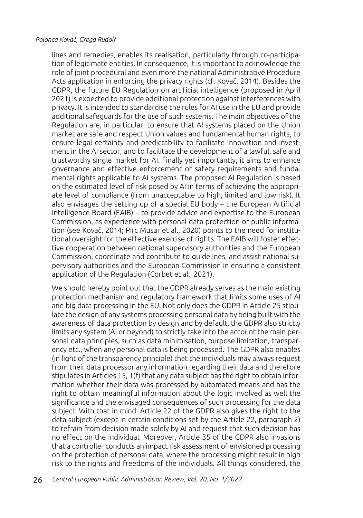lines and remedies, enables its realisation, particularly through co-participation of legitimate entities. In consequence, it is important to acknowledge the role of joint procedural and even more the national Administrative Procedure Acts application in enforcing the privacy rights (cf. Kovač, 2014). Besides the GDPR, the future EU Regulation on artificial intelligence (proposed in April 2021) is expected to provide additional protection against interferences with privacy. It is intended to standardise the rules for AI use in the EU and provide additional safeguards for the use of such systems. The main objectives of the Regulation are, in particular, to ensure that AI systems placed on the Union market are safe and respect Union values and fundamental human rights, to ensure legal certainty and predictability to facilitate innovation and investment in the AI sector, and to facilitate the development of a lawful, safe and trustworthy single market for AI. Finally yet importantly, it aims to enhance governance and effective enforcement of safety requirements and fundamental rights applicable to AI systems. The proposed AI Regulation is based on the estimated level of risk posed by AI in terms of achieving the appropriate level of compliance (from unacceptable to high, limited and low risk). It also envisages the setting up of a special EU body – the European Artificial Intelligence Board (EAIB) – to provide advice and expertise to the European Commission, as experience with personal data protection or public information (see Kovač, 2014; Pirc Musar et al., 2020) points to the need for institutional oversight for the effective exercise of rights. The EAIB will foster effective cooperation between national supervisory authorities and the European Commission, coordinate and contribute to guidelines, and assist national supervisory authorities and the European Commission in ensuring a consistent application of the Regulation (Corbet et al., 2021).

We should hereby point out that the GDPR already serves as the main existing protection mechanism and regulatory framework that limits some uses of AI and big data processing in the EU. Not only does the GDPR in Article 25 stipulate the design of any systems processing personal data by being built with the awareness of data protection by design and by default, the GDPR also strictly limits any system (AI or beyond) to strictly take into the account the main personal data principles, such as data minimisation, purpose limitation, transparency etc., when any personal data is being processed. The GDPR also enables (in light of the transparency principle) that the individuals may always request from their data processor any information regarding their data and therefore stipulates in Articles 15, 1(f) that any data subject has the right to obtain information whether their data was processed by automated means and has the right to obtain meaningful information about the logic involved as well the significance and the envisaged consequences of such processing for the data subject. With that in mind, Article 22 of the GDPR also gives the right to the data subject (except in certain conditions set by the Article 22, paragraph 2) to refrain from decision made solely by AI and request that such decision has no effect on the individual. Moreover, Article 35 of the GDPR also invasions that a controller conducts an impact risk assessment of envisioned processing on the protection of personal data, where the processing might result in high risk to the rights and freedoms of the individuals. All things considered, the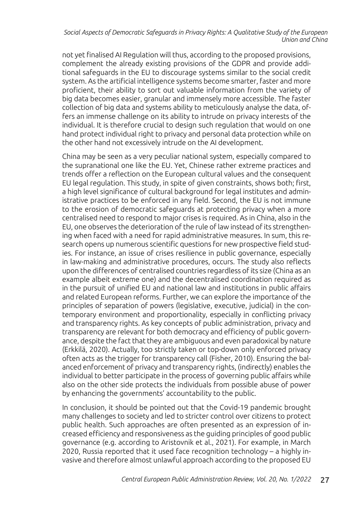not yet finalised AI Regulation will thus, according to the proposed provisions, complement the already existing provisions of the GDPR and provide additional safeguards in the EU to discourage systems similar to the social credit system. As the artificial intelligence systems become smarter, faster and more proficient, their ability to sort out valuable information from the variety of big data becomes easier, granular and immensely more accessible. The faster collection of big data and systems ability to meticulously analyse the data, offers an immense challenge on its ability to intrude on privacy interests of the individual. It is therefore crucial to design such regulation that would on one hand protect individual right to privacy and personal data protection while on the other hand not excessively intrude on the AI development.

China may be seen as a very peculiar national system, especially compared to the supranational one like the EU. Yet, Chinese rather extreme practices and trends offer a reflection on the European cultural values and the consequent EU legal regulation. This study, in spite of given constraints, shows both; first, a high level significance of cultural background for legal institutes and administrative practices to be enforced in any field. Second, the EU is not immune to the erosion of democratic safeguards at protecting privacy when a more centralised need to respond to major crises is required. As in China, also in the EU, one observes the deterioration of the rule of law instead of its strengthening when faced with a need for rapid administrative measures. In sum, this research opens up numerous scientific questions for new prospective field studies. For instance, an issue of crises resilience in public governance, especially in law-making and administrative procedures, occurs. The study also reflects upon the differences of centralised countries regardless of its size (China as an example albeit extreme one) and the decentralised coordination required as in the pursuit of unified EU and national law and institutions in public affairs and related European reforms. Further, we can explore the importance of the principles of separation of powers (legislative, executive, judicial) in the contemporary environment and proportionality, especially in conflicting privacy and transparency rights. As key concepts of public administration, privacy and transparency are relevant for both democracy and efficiency of public governance, despite the fact that they are ambiguous and even paradoxical by nature (Erkkilä, 2020). Actually, too strictly taken or top-down only enforced privacy often acts as the trigger for transparency call (Fisher, 2010). Ensuring the balanced enforcement of privacy and transparency rights, (indirectly) enables the individual to better participate in the process of governing public affairs while also on the other side protects the individuals from possible abuse of power by enhancing the governments' accountability to the public.

In conclusion, it should be pointed out that the Covid-19 pandemic brought many challenges to society and led to stricter control over citizens to protect public health. Such approaches are often presented as an expression of increased efficiency and responsiveness as the guiding principles of good public governance (e.g. according to Aristovnik et al., 2021). For example, in March 2020, Russia reported that it used face recognition technology – a highly invasive and therefore almost unlawful approach according to the proposed EU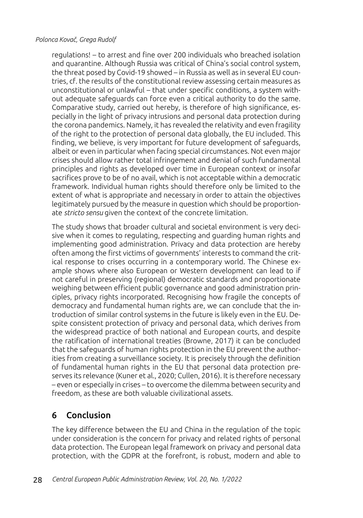regulations! – to arrest and fine over 200 individuals who breached isolation and quarantine. Although Russia was critical of China's social control system, the threat posed by Covid-19 showed – in Russia as well as in several EU countries, cf. the results of the constitutional review assessing certain measures as unconstitutional or unlawful – that under specific conditions, a system without adequate safeguards can force even a critical authority to do the same. Comparative study, carried out hereby, is therefore of high significance, especially in the light of privacy intrusions and personal data protection during the corona pandemics. Namely, it has revealed the relativity and even fragility of the right to the protection of personal data globally, the EU included. This finding, we believe, is very important for future development of safeguards, albeit or even in particular when facing special circumstances. Not even major crises should allow rather total infringement and denial of such fundamental principles and rights as developed over time in European context or insofar sacrifices prove to be of no avail, which is not acceptable within a democratic framework. Individual human rights should therefore only be limited to the extent of what is appropriate and necessary in order to attain the objectives legitimately pursued by the measure in question which should be proportionate *stricto sensu* given the context of the concrete limitation.

The study shows that broader cultural and societal environment is very decisive when it comes to regulating, respecting and guarding human rights and implementing good administration. Privacy and data protection are hereby often among the first victims of governments' interests to command the critical response to crises occurring in a contemporary world. The Chinese example shows where also European or Western development can lead to if not careful in preserving (regional) democratic standards and proportionate weighing between efficient public governance and good administration principles, privacy rights incorporated. Recognising how fragile the concepts of democracy and fundamental human rights are, we can conclude that the introduction of similar control systems in the future is likely even in the EU. Despite consistent protection of privacy and personal data, which derives from the widespread practice of both national and European courts, and despite the ratification of international treaties (Browne, 2017) it can be concluded that the safeguards of human rights protection in the EU prevent the authorities from creating a surveillance society. It is precisely through the definition of fundamental human rights in the EU that personal data protection preserves its relevance (Kuner et al., 2020; Cullen, 2016). It is therefore necessary – even or especially in crises – to overcome the dilemma between security and freedom, as these are both valuable civilizational assets.

## 6 Conclusion

The key difference between the EU and China in the regulation of the topic under consideration is the concern for privacy and related rights of personal data protection. The European legal framework on privacy and personal data protection, with the GDPR at the forefront, is robust, modern and able to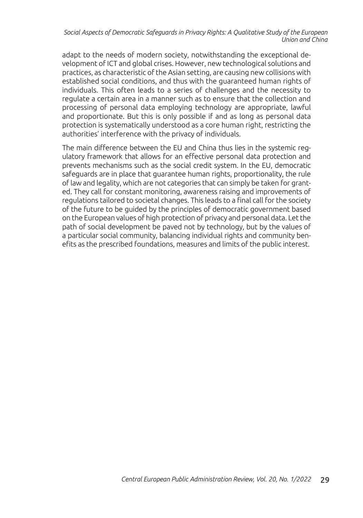adapt to the needs of modern society, notwithstanding the exceptional development of ICT and global crises. However, new technological solutions and practices, as characteristic of the Asian setting, are causing new collisions with established social conditions, and thus with the guaranteed human rights of individuals. This often leads to a series of challenges and the necessity to regulate a certain area in a manner such as to ensure that the collection and processing of personal data employing technology are appropriate, lawful and proportionate. But this is only possible if and as long as personal data protection is systematically understood as a core human right, restricting the authorities' interference with the privacy of individuals.

The main difference between the EU and China thus lies in the systemic regulatory framework that allows for an effective personal data protection and prevents mechanisms such as the social credit system. In the EU, democratic safeguards are in place that guarantee human rights, proportionality, the rule of law and legality, which are not categories that can simply be taken for granted. They call for constant monitoring, awareness raising and improvements of regulations tailored to societal changes. This leads to a final call for the society of the future to be guided by the principles of democratic government based on the European values of high protection of privacy and personal data. Let the path of social development be paved not by technology, but by the values of a particular social community, balancing individual rights and community benefits as the prescribed foundations, measures and limits of the public interest.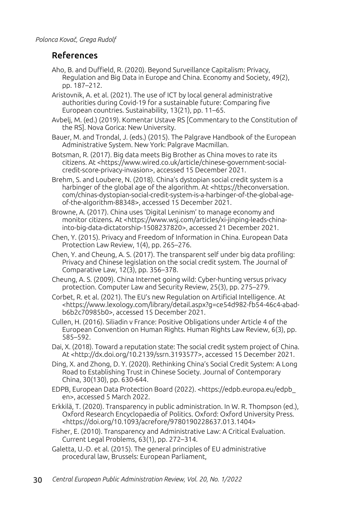# References

- Aho, B. and Duffield, R. (2020). Beyond Surveillance Capitalism: Privacy, Regulation and Big Data in Europe and China. Economy and Society, 49(2), pp. 187–212.
- Aristovnik, A. et al. (2021). The use of ICT by local general administrative authorities during Covid-19 for a sustainable future: Comparing five European countries. Sustainability, 13(21), pp. 11–65.
- Avbelj, M. (ed.) (2019). Komentar Ustave RS [Commentary to the Constitution of the RS]. Nova Gorica: New University.

Bauer, M. and Trondal, J. (eds.) (2015). The Palgrave Handbook of the European Administrative System. New York: Palgrave Macmillan.

Botsman, R. (2017). Big data meets Big Brother as China moves to rate its citizens. At <https://www.wired.co.uk/article/chinese-government-socialcredit-score-privacy-invasion>, accessed 15 December 2021.

Brehm, S. and Loubere, N. (2018). China's dystopian social credit system is a harbinger of the global age of the algorithm. At <https://theconversation. com/chinas-dystopian-social-credit-system-is-a-harbinger-of-the-global-ageof-the-algorithm-88348>, accessed 15 December 2021.

Browne, A. (2017). China uses 'Digital Leninism' to manage economy and monitor citizens. At <https://www.wsj.com/articles/xi-jinping-leads-chinainto-big-data-dictatorship-1508237820>, accessed 21 December 2021.

Chen, Y. (2015). Privacy and Freedom of Information in China. European Data Protection Law Review, 1(4), pp. 265–276.

Chen, Y. and Cheung, A. S. (2017). The transparent self under big data profiling: Privacy and Chinese legislation on the social credit system. The Journal of Comparative Law, 12(3), pp. 356–378.

Cheung, A. S. (2009). China Internet going wild: Cyber-hunting versus privacy protection. Computer Law and Security Review, 25(3), pp. 275–279.

Corbet, R. et al. (2021). The EU's new Regulation on Artificial Intelligence. At <https://www.lexology.com/library/detail.aspx?g=ce54d982-fb54-46c4-abadb6b2c70985b0>, accessed 15 December 2021.

Cullen, H. (2016). Siliadin v France: Positive Obligations under Article 4 of the European Convention on Human Rights. Human Rights Law Review, 6(3), pp. 585–592.

Dai, X. (2018). Toward a reputation state: The social credit system project of China. At <http://dx.doi.org/10.2139/ssrn.3193577>, accessed 15 December 2021.

Ding, X. and Zhong, D. Y. (2020). Rethinking China's Social Credit System: A Long Road to Establishing Trust in Chinese Society. Journal of Contemporary China, 30(130), pp. 630-644.

EDPB, European Data Protection Board (2022). <https://edpb.europa.eu/edpb\_ en>, accessed 5 March 2022.

Erkkilä, T. (2020). Transparency in public administration. In W. R. Thompson (ed.), Oxford Research Encyclopaedia of Politics. Oxford: Oxford University Press. <https://doi.org/10.1093/acrefore/9780190228637.013.1404>

Fisher, E. (2010). Transparency and Administrative Law: A Critical Evaluation. Current Legal Problems, 63(1), pp. 272–314.

Galetta, U.-D. et al. (2015). The general principles of EU administrative procedural law, Brussels: European Parliament,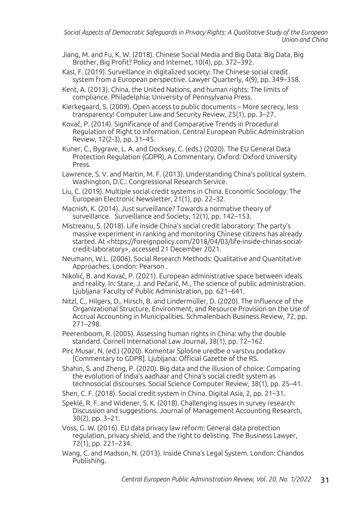Jiang, M. and Fu, K. W. (2018). Chinese Social Media and Big Data: Big Data, Big Brother, Big Profit? Policy and Internet, 10(4), pp. 372–392.

Kasl, F. (2019). Surveillance in digitalized society: The Chinese social credit system from a European perspective. Lawyer Quarterly, 4(9), pp. 349–358.

Kent, A. (2013). China, the United Nations, and human rights: The limits of compliance. Philadelphia: University of Pennsylvania Press.

Kierkegaard, S. (2009). Open access to public documents – More secrecy, less transparency! Computer Law and Security Review, 25(1), pp. 3–27.

Kovač, P. (2014). Significance of and Comparative Trends in Procedural Regulation of Right to Information. Central European Public Administration Review, 12(2-3), pp. 31–45.

Kuner, C., Bygrave, L. A. and Docksey, C. (eds.) (2020). The EU General Data Protection Regulation (GDPR), A Commentary. Oxford: Oxford University Press.

Lawrence, S. V. and Martin, M. F. (2013). Understanding China's political system. Washington, D.C.: Congressional Research Service.

Liu, C. (2019). Multiple social credit systems in China. Economic Sociology: The European Electronic Newsletter, 21(1), pp. 22–32.

Macnish, K. (2014). Just surveillance? Towards a normative theory of surveillance. Surveillance and Society, 12(1), pp. 142–153.

Mistreanu, S. (2018). Life inside China's social credit laboratory: The party's massive experiment in ranking and monitoring Chinese citizens has already started. At <https://foreignpolicy.com/2018/04/03/life-inside-chinas-socialcredit-laboratory>, accessed 21 December 2021.

Neumann, W.L. (2006). Social Research Methods: Qualitative and Quantitative Approaches. London: Pearson .

Nikolić, B. and Kovač, P. (2021). European administrative space between ideals and reality. In: Stare, J. and Pečarič, M., The science of public administration. Ljubljana: Faculty of Public Administration, pp. 621–641.

Nitzl, C., Hilgers, D., Hirsch, B. and Lindermüller, D. (2020). The Influence of the Organizational Structure, Environment, and Resource Provision on the Use of Accrual Accounting in Municipalities. Schmalenbach Business Review, 72, pp. 271–298.

Peerenboom, R. (2005). Assessing human rights in China: why the double standard. Cornell International Law Journal, 38(1), pp. 72–162.

Pirc Musar, N. (ed.) (2020). Komentar Splošne uredbe o varstvu podatkov [Commentary to GDPR]. Ljubljana: Official Gazette of the RS.

Shahin, S. and Zheng, P. (2020). Big data and the illusion of choice: Comparing the evolution of India's aadhaar and China's social credit system as technosocial discourses. Social Science Computer Review, 38(1), pp. 25–41.

Shen, C. F. (2018). Social credit system in China. Digital Asia, 2, pp. 21–31.

Speklé, R. F. and Widener, S. K. (2018). Challenging issues in survey research: Discussion and suggestions. Journal of Management Accounting Research, 30(2), pp. 3–21.

Voss, G. W. (2016). EU data privacy law reform: General data protection regulation, privacy shield, and the right to delisting. The Business Lawyer, 72(1), pp. 221–234.

Wang, C. and Madson, N. (2013). Inside China's Legal System. London: Chandos Publishing.